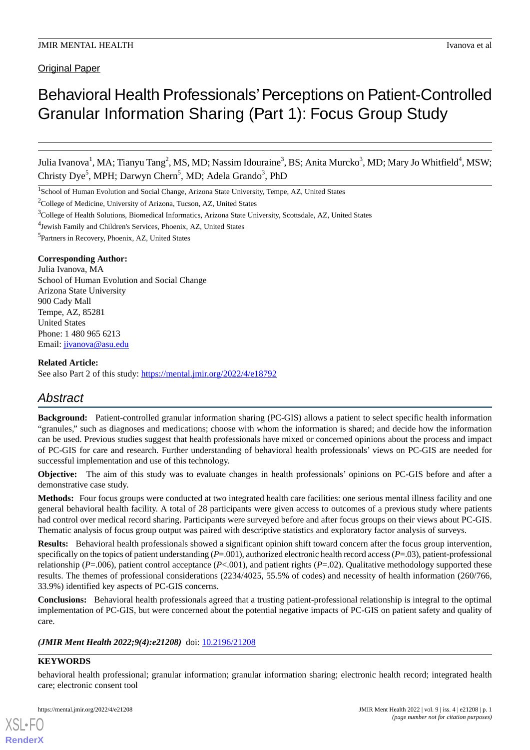**Original Paper** 

# Behavioral Health Professionals' Perceptions on Patient-Controlled Granular Information Sharing (Part 1): Focus Group Study

Julia Ivanova<sup>1</sup>, MA; Tianyu Tang<sup>2</sup>, MS, MD; Nassim Idouraine<sup>3</sup>, BS; Anita Murcko<sup>3</sup>, MD; Mary Jo Whitfield<sup>4</sup>, MSW; Christy Dye<sup>5</sup>, MPH; Darwyn Chern<sup>5</sup>, MD; Adela Grando<sup>3</sup>, PhD

<sup>1</sup>School of Human Evolution and Social Change, Arizona State University, Tempe, AZ, United States

<sup>2</sup>College of Medicine, University of Arizona, Tucson, AZ, United States

4 Jewish Family and Children's Services, Phoenix, AZ, United States

5 Partners in Recovery, Phoenix, AZ, United States

## **Corresponding Author:**

Julia Ivanova, MA School of Human Evolution and Social Change Arizona State University 900 Cady Mall Tempe, AZ, 85281 United States Phone: 1 480 965 6213 Email: [jivanova@asu.edu](mailto:jivanova@asu.edu)

#### **Related Article:**

See also Part 2 of this study: <https://mental.jmir.org/2022/4/e18792>

# *Abstract*

**Background:** Patient-controlled granular information sharing (PC-GIS) allows a patient to select specific health information "granules," such as diagnoses and medications; choose with whom the information is shared; and decide how the information can be used. Previous studies suggest that health professionals have mixed or concerned opinions about the process and impact of PC-GIS for care and research. Further understanding of behavioral health professionals' views on PC-GIS are needed for successful implementation and use of this technology.

**Objective:** The aim of this study was to evaluate changes in health professionals' opinions on PC-GIS before and after a demonstrative case study.

**Methods:** Four focus groups were conducted at two integrated health care facilities: one serious mental illness facility and one general behavioral health facility. A total of 28 participants were given access to outcomes of a previous study where patients had control over medical record sharing. Participants were surveyed before and after focus groups on their views about PC-GIS. Thematic analysis of focus group output was paired with descriptive statistics and exploratory factor analysis of surveys.

**Results:** Behavioral health professionals showed a significant opinion shift toward concern after the focus group intervention, specifically on the topics of patient understanding  $(P=001)$ , authorized electronic health record access  $(P=03)$ , patient-professional relationship ( $P=0.006$ ), patient control acceptance ( $P<0.01$ ), and patient rights ( $P=0.2$ ). Qualitative methodology supported these results. The themes of professional considerations (2234/4025, 55.5% of codes) and necessity of health information (260/766, 33.9%) identified key aspects of PC-GIS concerns.

**Conclusions:** Behavioral health professionals agreed that a trusting patient-professional relationship is integral to the optimal implementation of PC-GIS, but were concerned about the potential negative impacts of PC-GIS on patient safety and quality of care.

## *(JMIR Ment Health 2022;9(4):e21208)* doi: [10.2196/21208](http://dx.doi.org/10.2196/21208)

## **KEYWORDS**

[XSL](http://www.w3.org/Style/XSL)•FO **[RenderX](http://www.renderx.com/)**

behavioral health professional; granular information; granular information sharing; electronic health record; integrated health care; electronic consent tool

<sup>3</sup>College of Health Solutions, Biomedical Informatics, Arizona State University, Scottsdale, AZ, United States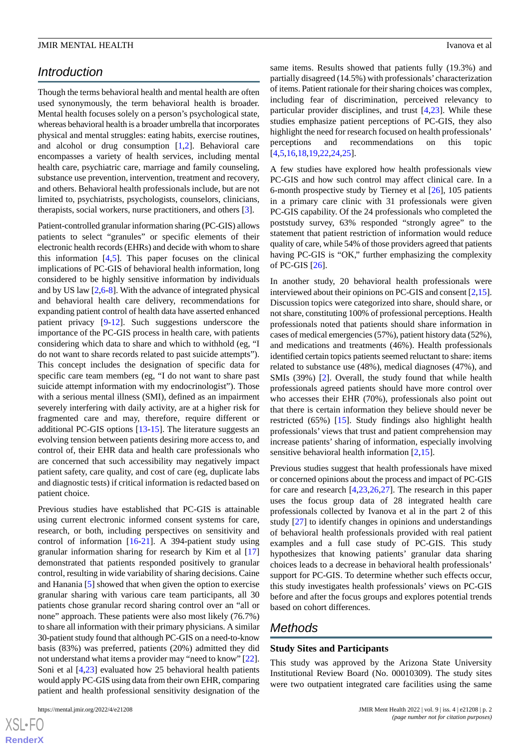# *Introduction*

Though the terms behavioral health and mental health are often used synonymously, the term behavioral health is broader. Mental health focuses solely on a person's psychological state, whereas behavioral health is a broader umbrella that incorporates physical and mental struggles: eating habits, exercise routines, and alcohol or drug consumption [\[1](#page-12-0),[2\]](#page-12-1). Behavioral care encompasses a variety of health services, including mental health care, psychiatric care, marriage and family counseling, substance use prevention, intervention, treatment and recovery, and others. Behavioral health professionals include, but are not limited to, psychiatrists, psychologists, counselors, clinicians, therapists, social workers, nurse practitioners, and others [\[3](#page-12-2)].

Patient-controlled granular information sharing (PC-GIS) allows patients to select "granules" or specific elements of their electronic health records (EHRs) and decide with whom to share this information [[4,](#page-12-3)[5](#page-12-4)]. This paper focuses on the clinical implications of PC-GIS of behavioral health information, long considered to be highly sensitive information by individuals and by US law [\[2](#page-12-1),[6-](#page-12-5)[8\]](#page-12-6). With the advance of integrated physical and behavioral health care delivery, recommendations for expanding patient control of health data have asserted enhanced patient privacy [\[9-](#page-12-7)[12\]](#page-13-0). Such suggestions underscore the importance of the PC-GIS process in health care, with patients considering which data to share and which to withhold (eg, "I do not want to share records related to past suicide attempts"). This concept includes the designation of specific data for specific care team members (eg, "I do not want to share past suicide attempt information with my endocrinologist"). Those with a serious mental illness (SMI), defined as an impairment severely interfering with daily activity, are at a higher risk for fragmented care and may, therefore, require different or additional PC-GIS options [[13-](#page-13-1)[15](#page-13-2)]. The literature suggests an evolving tension between patients desiring more access to, and control of, their EHR data and health care professionals who are concerned that such accessibility may negatively impact patient safety, care quality, and cost of care (eg, duplicate labs and diagnostic tests) if critical information is redacted based on patient choice.

Previous studies have established that PC-GIS is attainable using current electronic informed consent systems for care, research, or both, including perspectives on sensitivity and control of information [\[16](#page-13-3)-[21\]](#page-13-4). A 394-patient study using granular information sharing for research by Kim et al [\[17](#page-13-5)] demonstrated that patients responded positively to granular control, resulting in wide variability of sharing decisions. Caine and Hanania [\[5](#page-12-4)] showed that when given the option to exercise granular sharing with various care team participants, all 30 patients chose granular record sharing control over an "all or none" approach. These patients were also most likely (76.7%) to share all information with their primary physicians. A similar 30-patient study found that although PC-GIS on a need-to-know basis (83%) was preferred, patients (20%) admitted they did not understand what items a provider may "need to know" [[22\]](#page-13-6). Soni et al [[4,](#page-12-3)[23](#page-13-7)] evaluated how 25 behavioral health patients would apply PC-GIS using data from their own EHR, comparing patient and health professional sensitivity designation of the

[XSL](http://www.w3.org/Style/XSL)•FO **[RenderX](http://www.renderx.com/)** same items. Results showed that patients fully (19.3%) and partially disagreed (14.5%) with professionals' characterization of items. Patient rationale for their sharing choices was complex, including fear of discrimination, perceived relevancy to particular provider disciplines, and trust [\[4,](#page-12-3)[23\]](#page-13-7). While these studies emphasize patient perceptions of PC-GIS, they also highlight the need for research focused on health professionals' perceptions and recommendations on this topic [[4](#page-12-3)[,5,](#page-12-4)[16](#page-13-3)[,18](#page-13-8),[19,](#page-13-9)[22,](#page-13-6)[24](#page-13-10)[,25](#page-13-11)].

A few studies have explored how health professionals view PC-GIS and how such control may affect clinical care. In a 6-month prospective study by Tierney et al [[26\]](#page-13-12), 105 patients in a primary care clinic with 31 professionals were given PC-GIS capability. Of the 24 professionals who completed the poststudy survey, 63% responded "strongly agree" to the statement that patient restriction of information would reduce quality of care, while 54% of those providers agreed that patients having PC-GIS is "OK," further emphasizing the complexity of PC-GIS [[26\]](#page-13-12).

In another study, 20 behavioral health professionals were interviewed about their opinions on PC-GIS and consent [[2,](#page-12-1)[15\]](#page-13-2). Discussion topics were categorized into share, should share, or not share, constituting 100% of professional perceptions. Health professionals noted that patients should share information in cases of medical emergencies (57%), patient history data (52%), and medications and treatments (46%). Health professionals identified certain topics patients seemed reluctant to share: items related to substance use (48%), medical diagnoses (47%), and SMIs (39%) [[2\]](#page-12-1). Overall, the study found that while health professionals agreed patients should have more control over who accesses their EHR (70%), professionals also point out that there is certain information they believe should never be restricted (65%) [\[15](#page-13-2)]. Study findings also highlight health professionals' views that trust and patient comprehension may increase patients' sharing of information, especially involving sensitive behavioral health information [\[2](#page-12-1),[15\]](#page-13-2).

Previous studies suggest that health professionals have mixed or concerned opinions about the process and impact of PC-GIS for care and research [[4](#page-12-3)[,23](#page-13-7),[26,](#page-13-12)[27](#page-13-13)]. The research in this paper uses the focus group data of 28 integrated health care professionals collected by Ivanova et al in the part 2 of this study [\[27](#page-13-13)] to identify changes in opinions and understandings of behavioral health professionals provided with real patient examples and a full case study of PC-GIS. This study hypothesizes that knowing patients' granular data sharing choices leads to a decrease in behavioral health professionals' support for PC-GIS. To determine whether such effects occur, this study investigates health professionals' views on PC-GIS before and after the focus groups and explores potential trends based on cohort differences.

# *Methods*

## **Study Sites and Participants**

This study was approved by the Arizona State University Institutional Review Board (No. 00010309). The study sites were two outpatient integrated care facilities using the same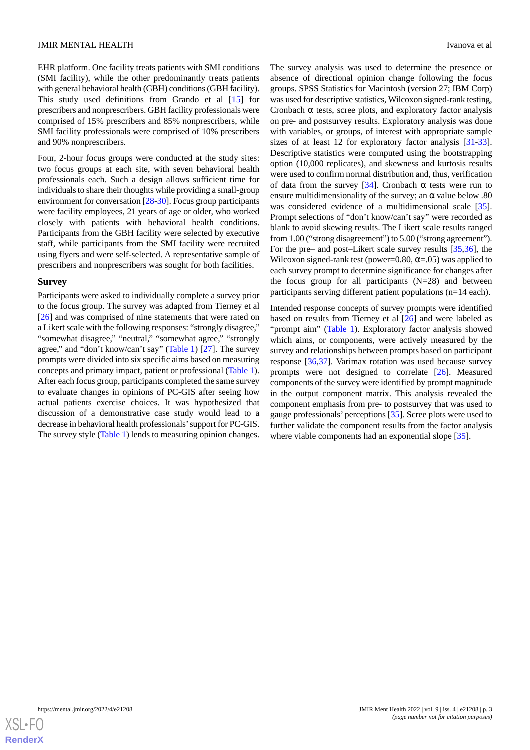EHR platform. One facility treats patients with SMI conditions (SMI facility), while the other predominantly treats patients with general behavioral health (GBH) conditions (GBH facility). This study used definitions from Grando et al [\[15](#page-13-2)] for prescribers and nonprescribers. GBH facility professionals were comprised of 15% prescribers and 85% nonprescribers, while SMI facility professionals were comprised of 10% prescribers and 90% nonprescribers.

Four, 2-hour focus groups were conducted at the study sites: two focus groups at each site, with seven behavioral health professionals each. Such a design allows sufficient time for individuals to share their thoughts while providing a small-group environment for conversation [[28-](#page-13-14)[30\]](#page-13-15). Focus group participants were facility employees, 21 years of age or older, who worked closely with patients with behavioral health conditions. Participants from the GBH facility were selected by executive staff, while participants from the SMI facility were recruited using flyers and were self-selected. A representative sample of prescribers and nonprescribers was sought for both facilities.

#### **Survey**

Participants were asked to individually complete a survey prior to the focus group. The survey was adapted from Tierney et al [[26\]](#page-13-12) and was comprised of nine statements that were rated on a Likert scale with the following responses: "strongly disagree," "somewhat disagree," "neutral," "somewhat agree," "strongly agree," and "don't know/can't say" [\(Table 1](#page-3-0)) [\[27](#page-13-13)]. The survey prompts were divided into six specific aims based on measuring concepts and primary impact, patient or professional ([Table 1\)](#page-3-0). After each focus group, participants completed the same survey to evaluate changes in opinions of PC-GIS after seeing how actual patients exercise choices. It was hypothesized that discussion of a demonstrative case study would lead to a decrease in behavioral health professionals'support for PC-GIS. The survey style ([Table 1](#page-3-0)) lends to measuring opinion changes.

The survey analysis was used to determine the presence or absence of directional opinion change following the focus groups. SPSS Statistics for Macintosh (version 27; IBM Corp) was used for descriptive statistics, Wilcoxon signed-rank testing, Cronbach  $\alpha$  tests, scree plots, and exploratory factor analysis on pre- and postsurvey results. Exploratory analysis was done with variables, or groups, of interest with appropriate sample sizes of at least 12 for exploratory factor analysis [[31-](#page-13-16)[33\]](#page-14-0). Descriptive statistics were computed using the bootstrapping option (10,000 replicates), and skewness and kurtosis results were used to confirm normal distribution and, thus, verification of data from the survey [[34\]](#page-14-1). Cronbach  $\alpha$  tests were run to ensure multidimensionality of the survey; an  $\alpha$  value below .80 was considered evidence of a multidimensional scale [[35\]](#page-14-2). Prompt selections of "don't know/can't say" were recorded as blank to avoid skewing results. The Likert scale results ranged from 1.00 ("strong disagreement") to 5.00 ("strong agreement"). For the pre– and post–Likert scale survey results [\[35](#page-14-2),[36\]](#page-14-3), the Wilcoxon signed-rank test (power=0.80,  $\alpha$ =.05) was applied to each survey prompt to determine significance for changes after the focus group for all participants  $(N=28)$  and between participants serving different patient populations (n=14 each).

Intended response concepts of survey prompts were identified based on results from Tierney et al [\[26](#page-13-12)] and were labeled as "prompt aim" [\(Table 1](#page-3-0)). Exploratory factor analysis showed which aims, or components, were actively measured by the survey and relationships between prompts based on participant response [[36,](#page-14-3)[37](#page-14-4)]. Varimax rotation was used because survey prompts were not designed to correlate [[26\]](#page-13-12). Measured components of the survey were identified by prompt magnitude in the output component matrix. This analysis revealed the component emphasis from pre- to postsurvey that was used to gauge professionals' perceptions [[35\]](#page-14-2). Scree plots were used to further validate the component results from the factor analysis where viable components had an exponential slope [\[35](#page-14-2)].

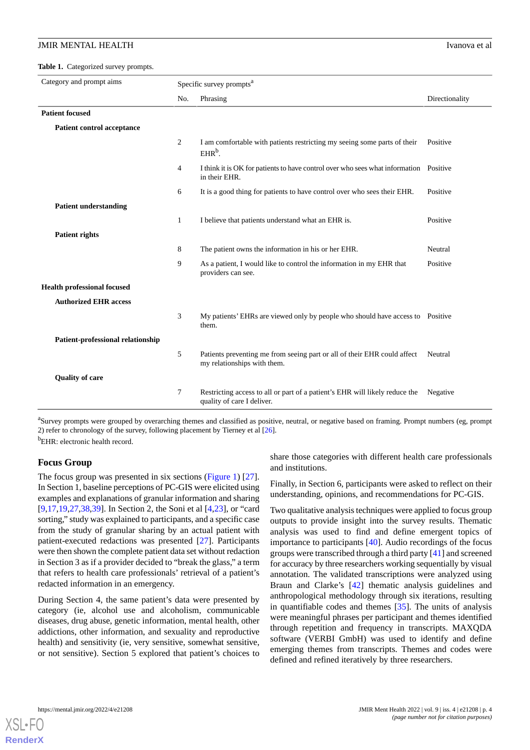<span id="page-3-0"></span>Table 1. Categorized survey prompts.

| Category and prompt aims           | Specific survey prompts <sup>a</sup> |                                                                                                           |                |
|------------------------------------|--------------------------------------|-----------------------------------------------------------------------------------------------------------|----------------|
|                                    | No.                                  | Phrasing                                                                                                  | Directionality |
| <b>Patient focused</b>             |                                      |                                                                                                           |                |
| <b>Patient control acceptance</b>  |                                      |                                                                                                           |                |
|                                    | 2                                    | I am comfortable with patients restricting my seeing some parts of their<br>$EHRb$ .                      | Positive       |
|                                    | $\overline{4}$                       | I think it is OK for patients to have control over who sees what information Positive<br>in their EHR.    |                |
|                                    | 6                                    | It is a good thing for patients to have control over who sees their EHR.                                  | Positive       |
| <b>Patient understanding</b>       |                                      |                                                                                                           |                |
|                                    | $\mathbf{1}$                         | I believe that patients understand what an EHR is.                                                        | Positive       |
| <b>Patient rights</b>              |                                      |                                                                                                           |                |
|                                    | 8                                    | The patient owns the information in his or her EHR.                                                       | Neutral        |
|                                    | 9                                    | As a patient, I would like to control the information in my EHR that<br>providers can see.                | Positive       |
| <b>Health professional focused</b> |                                      |                                                                                                           |                |
| <b>Authorized EHR access</b>       |                                      |                                                                                                           |                |
|                                    | 3                                    | My patients' EHRs are viewed only by people who should have access to Positive<br>them.                   |                |
| Patient-professional relationship  |                                      |                                                                                                           |                |
|                                    | 5                                    | Patients preventing me from seeing part or all of their EHR could affect<br>my relationships with them.   | Neutral        |
| <b>Quality of care</b>             |                                      |                                                                                                           |                |
|                                    | 7                                    | Restricting access to all or part of a patient's EHR will likely reduce the<br>quality of care I deliver. | Negative       |

<sup>a</sup>Survey prompts were grouped by overarching themes and classified as positive, neutral, or negative based on framing. Prompt numbers (eg, prompt 2) refer to chronology of the survey, following placement by Tierney et al [\[26\]](#page-13-12). <sup>b</sup>EHR: electronic health record.

## **Focus Group**

The focus group was presented in six sections ([Figure 1](#page-4-0)) [[27\]](#page-13-13). In Section 1, baseline perceptions of PC-GIS were elicited using examples and explanations of granular information and sharing [[9](#page-12-7)[,17](#page-13-5),[19](#page-13-9)[,27](#page-13-13),[38](#page-14-5)[,39](#page-14-6)]. In Section 2, the Soni et al [\[4](#page-12-3),[23\]](#page-13-7), or "card sorting," study was explained to participants, and a specific case from the study of granular sharing by an actual patient with patient-executed redactions was presented [\[27](#page-13-13)]. Participants were then shown the complete patient data set without redaction in Section 3 as if a provider decided to "break the glass," a term that refers to health care professionals' retrieval of a patient's redacted information in an emergency.

During Section 4, the same patient's data were presented by category (ie, alcohol use and alcoholism, communicable diseases, drug abuse, genetic information, mental health, other addictions, other information, and sexuality and reproductive health) and sensitivity (ie, very sensitive, somewhat sensitive, or not sensitive). Section 5 explored that patient's choices to

share those categories with different health care professionals and institutions.

Finally, in Section 6, participants were asked to reflect on their understanding, opinions, and recommendations for PC-GIS.

Two qualitative analysis techniques were applied to focus group outputs to provide insight into the survey results. Thematic analysis was used to find and define emergent topics of importance to participants [\[40](#page-14-7)]. Audio recordings of the focus groups were transcribed through a third party [\[41](#page-14-8)] and screened for accuracy by three researchers working sequentially by visual annotation. The validated transcriptions were analyzed using Braun and Clarke's [\[42](#page-14-9)] thematic analysis guidelines and anthropological methodology through six iterations, resulting in quantifiable codes and themes [\[35](#page-14-2)]. The units of analysis were meaningful phrases per participant and themes identified through repetition and frequency in transcripts. MAXQDA software (VERBI GmbH) was used to identify and define emerging themes from transcripts. Themes and codes were defined and refined iteratively by three researchers.

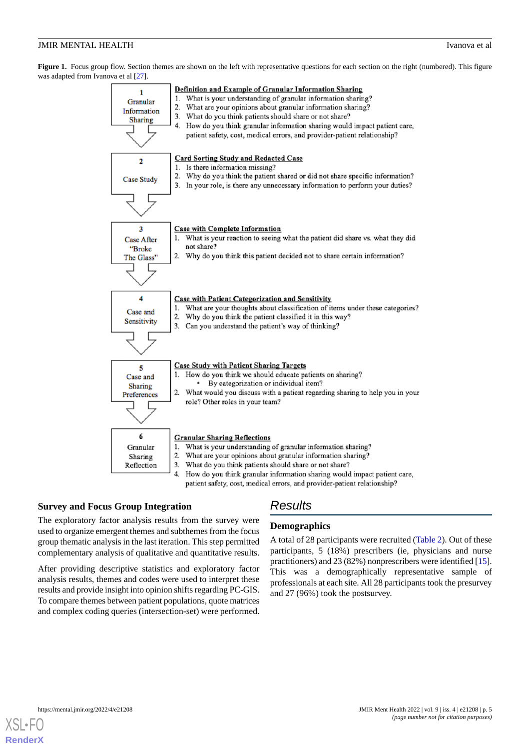<span id="page-4-0"></span>Figure 1. Focus group flow. Section themes are shown on the left with representative questions for each section on the right (numbered). This figure was adapted from Ivanova et al  $[27]$ .



## **Survey and Focus Group Integration**

## *Results*

The exploratory factor analysis results from the survey were used to organize emergent themes and subthemes from the focus group thematic analysis in the last iteration. This step permitted complementary analysis of qualitative and quantitative results.

After providing descriptive statistics and exploratory factor analysis results, themes and codes were used to interpret these results and provide insight into opinion shifts regarding PC-GIS. To compare themes between patient populations, quote matrices and complex coding queries (intersection-set) were performed.

## **Demographics**

A total of 28 participants were recruited [\(Table 2](#page-5-0)). Out of these participants, 5 (18%) prescribers (ie, physicians and nurse practitioners) and 23 (82%) nonprescribers were identified [\[15](#page-13-2)]. This was a demographically representative sample of professionals at each site. All 28 participants took the presurvey and 27 (96%) took the postsurvey.

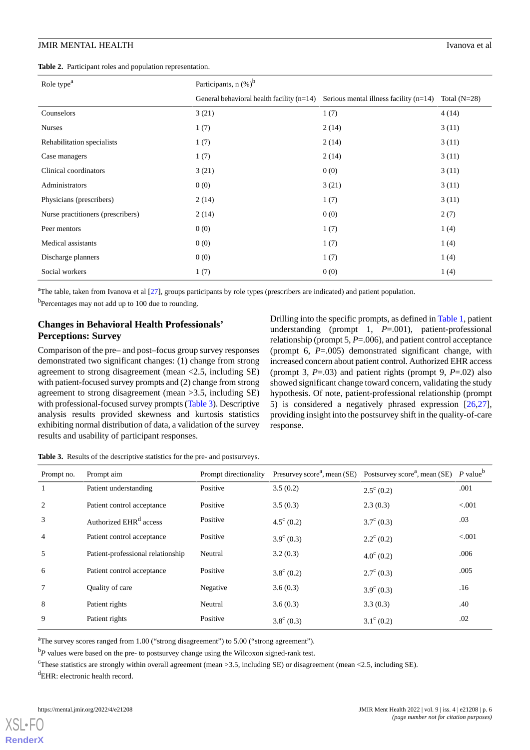<span id="page-5-0"></span>**Table 2.** Participant roles and population representation.

| Role type <sup>a</sup>            | Participants, $n$ (%) <sup>b</sup>          |                                          |                |  |  |
|-----------------------------------|---------------------------------------------|------------------------------------------|----------------|--|--|
|                                   | General behavioral health facility $(n=14)$ | Serious mental illness facility $(n=14)$ | Total $(N=28)$ |  |  |
| Counselors                        | 3(21)                                       | 1(7)                                     | 4(14)          |  |  |
| <b>Nurses</b>                     | 1(7)                                        | 2(14)                                    | 3(11)          |  |  |
| Rehabilitation specialists        | 1(7)                                        | 2(14)                                    | 3(11)          |  |  |
| Case managers                     | 1(7)                                        | 2(14)                                    | 3(11)          |  |  |
| Clinical coordinators             | 3(21)                                       | 0(0)                                     | 3(11)          |  |  |
| Administrators                    | 0(0)                                        | 3(21)                                    | 3(11)          |  |  |
| Physicians (prescribers)          | 2(14)                                       | 1(7)                                     | 3(11)          |  |  |
| Nurse practitioners (prescribers) | 2(14)                                       | 0(0)                                     | 2(7)           |  |  |
| Peer mentors                      | 0(0)                                        | 1(7)                                     | 1(4)           |  |  |
| Medical assistants                | 0(0)                                        | 1(7)                                     | 1(4)           |  |  |
| Discharge planners                | 0(0)                                        | 1(7)                                     | 1(4)           |  |  |
| Social workers                    | 1(7)                                        | 0(0)                                     | 1(4)           |  |  |

<sup>a</sup>The table, taken from Ivanova et al [\[27\]](#page-13-13), groups participants by role types (prescribers are indicated) and patient population.

<sup>b</sup>Percentages may not add up to 100 due to rounding.

## **Changes in Behavioral Health Professionals' Perceptions: Survey**

Comparison of the pre– and post–focus group survey responses demonstrated two significant changes: (1) change from strong agreement to strong disagreement (mean <2.5, including SE) with patient-focused survey prompts and (2) change from strong agreement to strong disagreement (mean >3.5, including SE) with professional-focused survey prompts ([Table 3](#page-5-1)). Descriptive analysis results provided skewness and kurtosis statistics exhibiting normal distribution of data, a validation of the survey results and usability of participant responses.

Drilling into the specific prompts, as defined in [Table 1,](#page-3-0) patient understanding (prompt 1, *P*=.001), patient-professional relationship (prompt 5, *P*=.006), and patient control acceptance (prompt 6, *P*=.005) demonstrated significant change, with increased concern about patient control. Authorized EHR access (prompt 3, *P*=.03) and patient rights (prompt 9, *P*=.02) also showed significant change toward concern, validating the study hypothesis. Of note, patient-professional relationship (prompt 5) is considered a negatively phrased expression [\[26](#page-13-12),[27\]](#page-13-13), providing insight into the postsurvey shift in the quality-of-care response.

<span id="page-5-1"></span>**Table 3.** Results of the descriptive statistics for the pre- and postsurveys.

| Prompt no.     | Prompt aim                         | Prompt directionality |                     | Presurvey score <sup>a</sup> , mean (SE) Postsurvey score <sup>a</sup> , mean (SE) | $P$ value <sup>b</sup> |
|----------------|------------------------------------|-----------------------|---------------------|------------------------------------------------------------------------------------|------------------------|
|                | Patient understanding              | Positive              | 3.5(0.2)            | $2.5^{\circ}$ (0.2)                                                                | .001                   |
| $\overline{2}$ | Patient control acceptance         | Positive              | 3.5(0.3)            | 2.3(0.3)                                                                           | < 0.001                |
| 3              | Authorized EHR <sup>d</sup> access | Positive              | $4.5^{\circ}$ (0.2) | $3.7^{\circ}$ (0.3)                                                                | .03                    |
| $\overline{4}$ | Patient control acceptance         | Positive              | $3.9^{\circ}$ (0.3) | $2.2^{\circ}$ (0.2)                                                                | < 0.001                |
| 5              | Patient-professional relationship  | Neutral               | 3.2(0.3)            | $4.0^{\circ}$ (0.2)                                                                | .006                   |
| 6              | Patient control acceptance         | Positive              | $3.8^{\circ}$ (0.2) | $2.7^{\circ}$ (0.3)                                                                | .005                   |
|                | Quality of care                    | Negative              | 3.6(0.3)            | $3.9^{\circ}(0.3)$                                                                 | .16                    |
| 8              | Patient rights                     | Neutral               | 3.6(0.3)            | 3.3(0.3)                                                                           | .40                    |
| 9              | Patient rights                     | Positive              | $3.8^{\circ}$ (0.3) | $3.1^{\circ}$ (0.2)                                                                | .02                    |

<sup>a</sup>The survey scores ranged from 1.00 ("strong disagreement") to 5.00 ("strong agreement").

<sup>b</sup>*P* values were based on the pre- to postsurvey change using the Wilcoxon signed-rank test.

<sup>c</sup>These statistics are strongly within overall agreement (mean >3.5, including SE) or disagreement (mean <2.5, including SE).

 ${}^{d}$ EHR: electronic health record.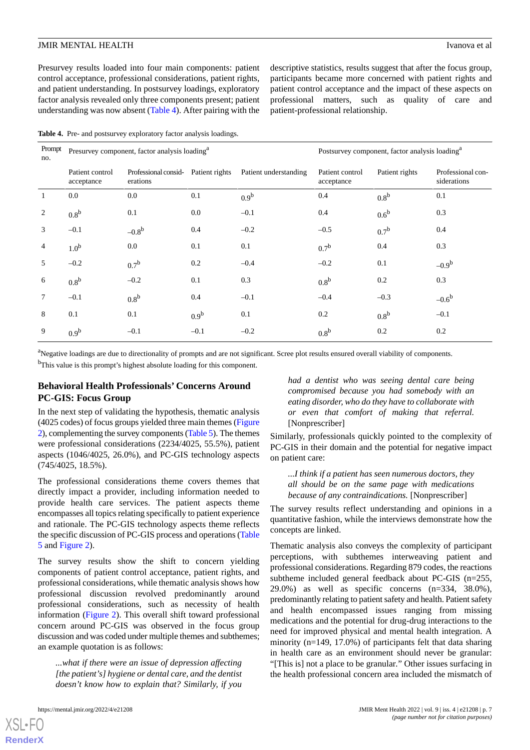Presurvey results loaded into four main components: patient control acceptance, professional considerations, patient rights, and patient understanding. In postsurvey loadings, exploratory factor analysis revealed only three components present; patient understanding was now absent ([Table 4\)](#page-6-0). After pairing with the

descriptive statistics, results suggest that after the focus group, participants became more concerned with patient rights and patient control acceptance and the impact of these aspects on professional matters*,* such as quality of care and patient-professional relationship.

<span id="page-6-0"></span>**Table 4.** Pre- and postsurvey exploratory factor analysis loadings.

| Prompt<br>no.  | Presurvey component, factor analysis loading <sup>a</sup> |                                                    |                  | Postsurvey component, factor analysis loading <sup>a</sup> |                               |                  |                                  |
|----------------|-----------------------------------------------------------|----------------------------------------------------|------------------|------------------------------------------------------------|-------------------------------|------------------|----------------------------------|
|                | Patient control<br>acceptance                             | Professional consid-<br>Patient rights<br>erations |                  | Patient understanding                                      | Patient control<br>acceptance | Patient rights   | Professional con-<br>siderations |
| $\mathbf{1}$   | 0.0                                                       | 0.0                                                | 0.1              | 0.9 <sup>b</sup>                                           | 0.4                           | 0.8 <sup>b</sup> | 0.1                              |
| 2              | $0.8^{\rm b}$                                             | 0.1                                                | 0.0              | $-0.1$                                                     | 0.4                           | $0.6^{\rm b}$    | 0.3                              |
| $\mathfrak{Z}$ | $-0.1$                                                    | $-0.8^{b}$                                         | 0.4              | $-0.2$                                                     | $-0.5$                        | 0.7 <sup>b</sup> | 0.4                              |
| $\overline{4}$ | 1.0 <sup>b</sup>                                          | 0.0                                                | 0.1              | 0.1                                                        | 0.7 <sup>b</sup>              | 0.4              | 0.3                              |
| 5              | $-0.2$                                                    | 0.7 <sup>b</sup>                                   | 0.2              | $-0.4$                                                     | $-0.2$                        | 0.1              | $-0.9^{\rm b}$                   |
| 6              | 0.8 <sup>b</sup>                                          | $-0.2$                                             | 0.1              | 0.3                                                        | 0.8 <sup>b</sup>              | 0.2              | 0.3                              |
| $\tau$         | $-0.1$                                                    | 0.8 <sup>b</sup>                                   | 0.4              | $-0.1$                                                     | $-0.4$                        | $-0.3$           | $-0.6^{\rm b}$                   |
| 8              | 0.1                                                       | 0.1                                                | 0.9 <sup>b</sup> | 0.1                                                        | 0.2                           | 0.8 <sup>b</sup> | $-0.1$                           |
| 9              | 0.9 <sup>b</sup>                                          | $-0.1$                                             | $-0.1$           | $-0.2$                                                     | 0.8 <sup>b</sup>              | 0.2              | 0.2                              |

<sup>a</sup>Negative loadings are due to directionality of prompts and are not significant. Scree plot results ensured overall viability of components.

<sup>b</sup>This value is this prompt's highest absolute loading for this component.

## **Behavioral Health Professionals' Concerns Around PC-GIS: Focus Group**

In the next step of validating the hypothesis, thematic analysis (4025 codes) of focus groups yielded three main themes ([Figure](#page-7-0) [2](#page-7-0)), complementing the survey components [\(Table 5](#page-8-0)). The themes were professional considerations (2234/4025, 55.5%), patient aspects (1046/4025, 26.0%), and PC-GIS technology aspects (745/4025, 18.5%).

The professional considerations theme covers themes that directly impact a provider, including information needed to provide health care services. The patient aspects theme encompasses all topics relating specifically to patient experience and rationale. The PC-GIS technology aspects theme reflects the specific discussion of PC-GIS process and operations ([Table](#page-8-0) [5](#page-8-0) and [Figure 2\)](#page-7-0).

The survey results show the shift to concern yielding components of patient control acceptance, patient rights, and professional considerations, while thematic analysis shows how professional discussion revolved predominantly around professional considerations, such as necessity of health information [\(Figure 2\)](#page-7-0). This overall shift toward professional concern around PC-GIS was observed in the focus group discussion and was coded under multiple themes and subthemes; an example quotation is as follows:

*...what if there were an issue of depression affecting [the patient's] hygiene or dental care, and the dentist doesn't know how to explain that? Similarly, if you*

*had a dentist who was seeing dental care being compromised because you had somebody with an eating disorder, who do they have to collaborate with or even that comfort of making that referral.* [Nonprescriber]

Similarly, professionals quickly pointed to the complexity of PC-GIS in their domain and the potential for negative impact on patient care:

*...I think if a patient has seen numerous doctors, they all should be on the same page with medications because of any contraindications.* [Nonprescriber]

The survey results reflect understanding and opinions in a quantitative fashion, while the interviews demonstrate how the concepts are linked.

Thematic analysis also conveys the complexity of participant perceptions, with subthemes interweaving patient and professional considerations. Regarding 879 codes, the reactions subtheme included general feedback about PC-GIS (n=255, 29.0%) as well as specific concerns (n=334, 38.0%), predominantly relating to patient safety and health. Patient safety and health encompassed issues ranging from missing medications and the potential for drug-drug interactions to the need for improved physical and mental health integration. A minority (n=149, 17.0%) of participants felt that data sharing in health care as an environment should never be granular: "[This is] not a place to be granular*.*" Other issues surfacing in the health professional concern area included the mismatch of

```
XSL•FO
RenderX
```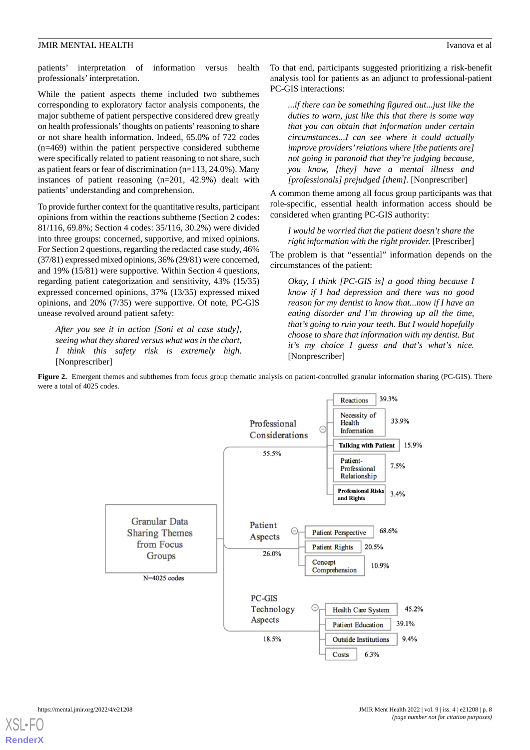patients' interpretation of information versus health professionals' interpretation.

While the patient aspects theme included two subthemes corresponding to exploratory factor analysis components, the major subtheme of patient perspective considered drew greatly on health professionals'thoughts on patients'reasoning to share or not share health information. Indeed, 65.0% of 722 codes (n=469) within the patient perspective considered subtheme were specifically related to patient reasoning to not share, such as patient fears or fear of discrimination (n=113, 24.0%). Many instances of patient reasoning (n=201, 42.9%) dealt with patients' understanding and comprehension.

To provide further context for the quantitative results, participant opinions from within the reactions subtheme (Section 2 codes: 81/116, 69.8%; Section 4 codes: 35/116, 30.2%) were divided into three groups: concerned, supportive, and mixed opinions. For Section 2 questions, regarding the redacted case study, 46% (37/81) expressed mixed opinions, 36% (29/81) were concerned, and 19% (15/81) were supportive. Within Section 4 questions, regarding patient categorization and sensitivity, 43% (15/35) expressed concerned opinions, 37% (13/35) expressed mixed opinions, and 20% (7/35) were supportive. Of note, PC-GIS unease revolved around patient safety:

<span id="page-7-0"></span>*After you see it in action [Soni et al case study], seeing what they shared versus what was in the chart, I think this safety risk is extremely high.* [Nonprescriber]

To that end, participants suggested prioritizing a risk-benefit analysis tool for patients as an adjunct to professional-patient PC-GIS interactions:

*...if there can be something figured out...just like the duties to warn, just like this that there is some way that you can obtain that information under certain circumstances...I can see where it could actually improve providers'relations where [the patients are] not going in paranoid that they're judging because, you know, [they] have a mental illness and [professionals] prejudged [them].* [Nonprescriber]

A common theme among all focus group participants was that role-specific, essential health information access should be considered when granting PC-GIS authority:

*I would be worried that the patient doesn't share the right information with the right provider.* [Prescriber]

The problem is that "essential" information depends on the circumstances of the patient:

*Okay, I think [PC-GIS is] a good thing because I know if I had depression and there was no good reason for my dentist to know that...now if I have an eating disorder and I'm throwing up all the time, that's going to ruin your teeth. But I would hopefully choose to share that information with my dentist. But it's my choice I guess and that's what's nice.* [Nonprescriber]

**Figure 2.** Emergent themes and subthemes from focus group thematic analysis on patient-controlled granular information sharing (PC-GIS). There were a total of 4025 codes.



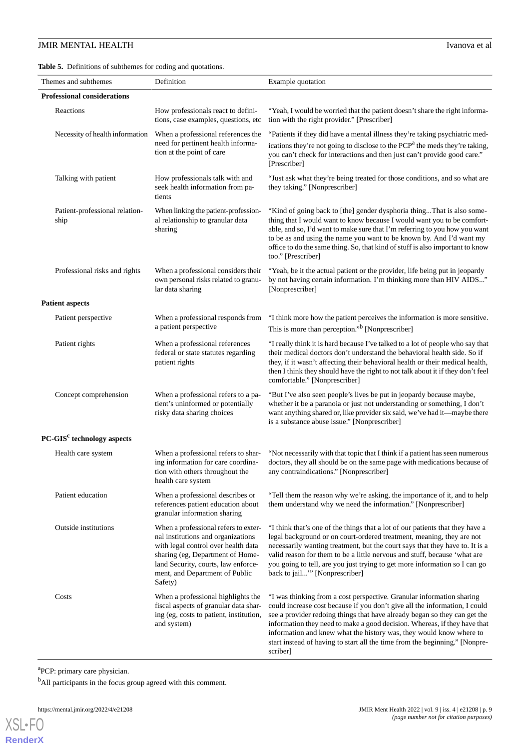## **JMIR MENTAL HEALTH** Ivanova et al

<span id="page-8-0"></span>**Table 5.** Definitions of subthemes for coding and quotations.

| Themes and subthemes                   | Definition                                                                                                                                                                                                                                | Example quotation                                                                                                                                                                                                                                                                                                                                                                                                                                                               |
|----------------------------------------|-------------------------------------------------------------------------------------------------------------------------------------------------------------------------------------------------------------------------------------------|---------------------------------------------------------------------------------------------------------------------------------------------------------------------------------------------------------------------------------------------------------------------------------------------------------------------------------------------------------------------------------------------------------------------------------------------------------------------------------|
| <b>Professional considerations</b>     |                                                                                                                                                                                                                                           |                                                                                                                                                                                                                                                                                                                                                                                                                                                                                 |
| Reactions                              | How professionals react to defini-<br>tions, case examples, questions, etc                                                                                                                                                                | "Yeah, I would be worried that the patient doesn't share the right informa-<br>tion with the right provider." [Prescriber]                                                                                                                                                                                                                                                                                                                                                      |
| Necessity of health information        | When a professional references the<br>need for pertinent health informa-<br>tion at the point of care                                                                                                                                     | "Patients if they did have a mental illness they're taking psychiatric med-<br>ications they're not going to disclose to the PCP <sup>a</sup> the meds they're taking,<br>you can't check for interactions and then just can't provide good care."<br>[Prescriber]                                                                                                                                                                                                              |
| Talking with patient                   | How professionals talk with and<br>seek health information from pa-<br>tients                                                                                                                                                             | "Just ask what they're being treated for those conditions, and so what are<br>they taking." [Nonprescriber]                                                                                                                                                                                                                                                                                                                                                                     |
| Patient-professional relation-<br>ship | When linking the patient-profession-<br>al relationship to granular data<br>sharing                                                                                                                                                       | "Kind of going back to [the] gender dysphoria thingThat is also some-<br>thing that I would want to know because I would want you to be comfort-<br>able, and so, I'd want to make sure that I'm referring to you how you want<br>to be as and using the name you want to be known by. And I'd want my<br>office to do the same thing. So, that kind of stuff is also important to know<br>too." [Prescriber]                                                                   |
| Professional risks and rights          | When a professional considers their<br>own personal risks related to granu-<br>lar data sharing                                                                                                                                           | "Yeah, be it the actual patient or the provider, life being put in jeopardy<br>by not having certain information. I'm thinking more than HIV AIDS"<br>[Nonprescriber]                                                                                                                                                                                                                                                                                                           |
| <b>Patient aspects</b>                 |                                                                                                                                                                                                                                           |                                                                                                                                                                                                                                                                                                                                                                                                                                                                                 |
| Patient perspective                    | When a professional responds from<br>a patient perspective                                                                                                                                                                                | "I think more how the patient perceives the information is more sensitive.<br>This is more than perception." <sup>b</sup> [Nonprescriber]                                                                                                                                                                                                                                                                                                                                       |
| Patient rights                         | When a professional references<br>federal or state statutes regarding<br>patient rights                                                                                                                                                   | "I really think it is hard because I've talked to a lot of people who say that<br>their medical doctors don't understand the behavioral health side. So if<br>they, if it wasn't affecting their behavioral health or their medical health,<br>then I think they should have the right to not talk about it if they don't feel<br>comfortable." [Nonprescriber]                                                                                                                 |
| Concept comprehension                  | When a professional refers to a pa-<br>tient's uninformed or potentially<br>risky data sharing choices                                                                                                                                    | "But I've also seen people's lives be put in jeopardy because maybe,<br>whether it be a paranoia or just not understanding or something, I don't<br>want anything shared or, like provider six said, we've had it—maybe there<br>is a substance abuse issue." [Nonprescriber]                                                                                                                                                                                                   |
| PC-GIS <sup>c</sup> technology aspects |                                                                                                                                                                                                                                           |                                                                                                                                                                                                                                                                                                                                                                                                                                                                                 |
| Health care system                     | When a professional refers to shar-<br>ing information for care coordina-<br>tion with others throughout the<br>health care system                                                                                                        | "Not necessarily with that topic that I think if a patient has seen numerous<br>doctors, they all should be on the same page with medications because of<br>any contraindications." [Nonprescriber]                                                                                                                                                                                                                                                                             |
| Patient education                      | When a professional describes or<br>references patient education about<br>granular information sharing                                                                                                                                    | "Tell them the reason why we're asking, the importance of it, and to help<br>them understand why we need the information." [Nonprescriber]                                                                                                                                                                                                                                                                                                                                      |
| <b>Outside</b> institutions            | When a professional refers to exter-<br>nal institutions and organizations<br>with legal control over health data<br>sharing (eg, Department of Home-<br>land Security, courts, law enforce-<br>ment, and Department of Public<br>Safety) | "I think that's one of the things that a lot of our patients that they have a<br>legal background or on court-ordered treatment, meaning, they are not<br>necessarily wanting treatment, but the court says that they have to. It is a<br>valid reason for them to be a little nervous and stuff, because 'what are<br>you going to tell, are you just trying to get more information so I can go<br>back to jail" [Nonprescriber]                                              |
| Costs                                  | When a professional highlights the<br>fiscal aspects of granular data shar-<br>ing (eg, costs to patient, institution,<br>and system)                                                                                                     | "I was thinking from a cost perspective. Granular information sharing<br>could increase cost because if you don't give all the information, I could<br>see a provider redoing things that have already began so they can get the<br>information they need to make a good decision. Whereas, if they have that<br>information and knew what the history was, they would know where to<br>start instead of having to start all the time from the beginning." [Nonpre-<br>scriber] |

<sup>a</sup>PCP: primary care physician.

<sup>b</sup>All participants in the focus group agreed with this comment.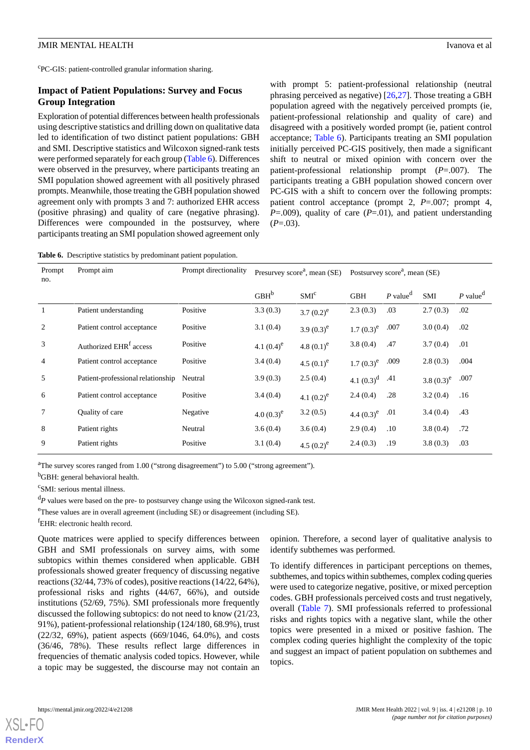c PC-GIS: patient-controlled granular information sharing.

## **Impact of Patient Populations: Survey and Focus Group Integration**

Exploration of potential differences between health professionals using descriptive statistics and drilling down on qualitative data led to identification of two distinct patient populations: GBH and SMI. Descriptive statistics and Wilcoxon signed-rank tests were performed separately for each group ([Table 6](#page-9-0)). Differences were observed in the presurvey, where participants treating an SMI population showed agreement with all positively phrased prompts. Meanwhile, those treating the GBH population showed agreement only with prompts 3 and 7: authorized EHR access (positive phrasing) and quality of care (negative phrasing). Differences were compounded in the postsurvey, where participants treating an SMI population showed agreement only

with prompt 5: patient-professional relationship (neutral phrasing perceived as negative) [\[26](#page-13-12),[27\]](#page-13-13). Those treating a GBH population agreed with the negatively perceived prompts (ie, patient-professional relationship and quality of care) and disagreed with a positively worded prompt (ie, patient control acceptance; [Table 6\)](#page-9-0). Participants treating an SMI population initially perceived PC-GIS positively, then made a significant shift to neutral or mixed opinion with concern over the patient-professional relationship prompt (*P*=.007). The participants treating a GBH population showed concern over PC-GIS with a shift to concern over the following prompts: patient control acceptance (prompt 2, *P*=.007; prompt 4, *P*=.009), quality of care (*P*=.01), and patient understanding  $(P=.03)$ .

<span id="page-9-0"></span>**Table 6.** Descriptive statistics by predominant patient population.

| Prompt<br>no.  | Prompt aim                         | Prompt directionality | Presurvey score <sup><math>a</math></sup> , mean (SE) |                  | Postsurvey score <sup>a</sup> , mean (SE) |                        |               |                        |
|----------------|------------------------------------|-----------------------|-------------------------------------------------------|------------------|-------------------------------------------|------------------------|---------------|------------------------|
|                |                                    |                       | GBH <sup>b</sup>                                      | SMI <sup>c</sup> | <b>GBH</b>                                | $P$ value <sup>d</sup> | <b>SMI</b>    | $P$ value <sup>d</sup> |
| -1             | Patient understanding              | Positive              | 3.3(0.3)                                              | 3.7 $(0.2)^e$    | 2.3(0.3)                                  | .03                    | 2.7(0.3)      | .02                    |
| 2              | Patient control acceptance         | Positive              | 3.1(0.4)                                              | 3.9 $(0.3)^e$    | $1.7(0.3)^e$                              | .007                   | 3.0(0.4)      | .02                    |
| 3              | Authorized EHR <sup>f</sup> access | Positive              | 4.1 $(0.4)^e$                                         | 4.8 $(0.1)^e$    | 3.8(0.4)                                  | .47                    | 3.7(0.4)      | .01                    |
| $\overline{4}$ | Patient control acceptance         | Positive              | 3.4(0.4)                                              | 4.5 $(0.1)^e$    | $1.7(0.3)^e$                              | .009                   | 2.8(0.3)      | .004                   |
| 5              | Patient-professional relationship  | Neutral               | 3.9(0.3)                                              | 2.5(0.4)         | 4.1 $(0.3)^d$                             | .41                    | 3.8 $(0.3)^e$ | .007                   |
| 6              | Patient control acceptance         | Positive              | 3.4(0.4)                                              | 4.1 $(0.2)^e$    | 2.4(0.4)                                  | .28                    | 3.2(0.4)      | .16                    |
| $\tau$         | Quality of care                    | Negative              | 4.0 $(0.3)^e$                                         | 3.2(0.5)         | 4.4 $(0.3)^e$                             | .01                    | 3.4(0.4)      | .43                    |
| 8              | Patient rights                     | Neutral               | 3.6(0.4)                                              | 3.6(0.4)         | 2.9(0.4)                                  | .10                    | 3.8(0.4)      | .72                    |
| 9              | Patient rights                     | Positive              | 3.1(0.4)                                              | 4.5 $(0.2)^e$    | 2.4(0.3)                                  | .19                    | 3.8(0.3)      | .03                    |

<sup>a</sup>The survey scores ranged from 1.00 ("strong disagreement") to 5.00 ("strong agreement").

<sup>b</sup>GBH: general behavioral health.

c SMI: serious mental illness.

<sup>d</sup>P values were based on the pre- to postsurvey change using the Wilcoxon signed-rank test.

<sup>e</sup>These values are in overall agreement (including SE) or disagreement (including SE).

<sup>f</sup>EHR: electronic health record.

Quote matrices were applied to specify differences between GBH and SMI professionals on survey aims, with some subtopics within themes considered when applicable. GBH professionals showed greater frequency of discussing negative reactions (32/44, 73% of codes), positive reactions (14/22, 64%), professional risks and rights (44/67, 66%), and outside institutions (52/69, 75%). SMI professionals more frequently discussed the following subtopics: do not need to know (21/23, 91%), patient-professional relationship (124/180, 68.9%), trust (22/32, 69%), patient aspects (669/1046, 64.0%), and costs (36/46, 78%). These results reflect large differences in frequencies of thematic analysis coded topics. However, while a topic may be suggested, the discourse may not contain an

opinion. Therefore, a second layer of qualitative analysis to identify subthemes was performed.

To identify differences in participant perceptions on themes, subthemes, and topics within subthemes, complex coding queries were used to categorize negative, positive, or mixed perception codes. GBH professionals perceived costs and trust negatively, overall [\(Table 7](#page-10-0)). SMI professionals referred to professional risks and rights topics with a negative slant, while the other topics were presented in a mixed or positive fashion. The complex coding queries highlight the complexity of the topic and suggest an impact of patient population on subthemes and topics.

**[RenderX](http://www.renderx.com/)**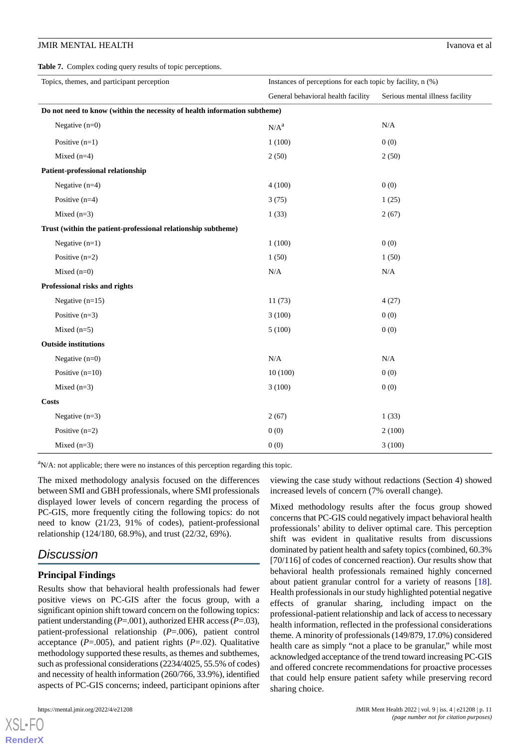<span id="page-10-0"></span>**Table 7.** Complex coding query results of topic perceptions.

| Topics, themes, and participant perception                                | Instances of perceptions for each topic by facility, n (%) |                                 |
|---------------------------------------------------------------------------|------------------------------------------------------------|---------------------------------|
|                                                                           | General behavioral health facility                         | Serious mental illness facility |
| Do not need to know (within the necessity of health information subtheme) |                                                            |                                 |
| Negative $(n=0)$                                                          | N/A <sup>a</sup>                                           | N/A                             |
| Positive $(n=1)$                                                          | 1(100)                                                     | 0(0)                            |
| Mixed $(n=4)$                                                             | 2(50)                                                      | 2(50)                           |
| Patient-professional relationship                                         |                                                            |                                 |
| Negative $(n=4)$                                                          | 4(100)                                                     | 0(0)                            |
| Positive $(n=4)$                                                          | 3(75)                                                      | 1(25)                           |
| Mixed $(n=3)$                                                             | 1(33)                                                      | 2(67)                           |
| Trust (within the patient-professional relationship subtheme)             |                                                            |                                 |
| Negative $(n=1)$                                                          | 1(100)                                                     | 0(0)                            |
| Positive $(n=2)$                                                          | 1(50)                                                      | 1(50)                           |
| Mixed $(n=0)$                                                             | N/A                                                        | N/A                             |
| Professional risks and rights                                             |                                                            |                                 |
| Negative $(n=15)$                                                         | 11(73)                                                     | 4(27)                           |
| Positive $(n=3)$                                                          | 3(100)                                                     | 0(0)                            |
| Mixed $(n=5)$                                                             | 5(100)                                                     | 0(0)                            |
| <b>Outside institutions</b>                                               |                                                            |                                 |
| Negative $(n=0)$                                                          | $\rm N/A$                                                  | N/A                             |
| Positive $(n=10)$                                                         | 10(100)                                                    | 0(0)                            |
| Mixed $(n=3)$                                                             | 3(100)                                                     | 0(0)                            |
| <b>Costs</b>                                                              |                                                            |                                 |
| Negative $(n=3)$                                                          | 2(67)                                                      | 1(33)                           |
| Positive $(n=2)$                                                          | 0(0)                                                       | 2(100)                          |
| Mixed $(n=3)$                                                             | 0(0)                                                       | 3(100)                          |

 $\alpha$ <sup>a</sup>N/A: not applicable; there were no instances of this perception regarding this topic.

The mixed methodology analysis focused on the differences between SMI and GBH professionals, where SMI professionals displayed lower levels of concern regarding the process of PC-GIS, more frequently citing the following topics: do not need to know (21/23, 91% of codes), patient-professional relationship (124/180, 68.9%), and trust (22/32, 69%).

# *Discussion*

## **Principal Findings**

Results show that behavioral health professionals had fewer positive views on PC-GIS after the focus group, with a significant opinion shift toward concern on the following topics: patient understanding (*P*=.001), authorized EHR access (*P*=.03), patient-professional relationship (*P*=.006), patient control acceptance ( $P = .005$ ), and patient rights ( $P = .02$ ). Qualitative methodology supported these results, as themes and subthemes, such as professional considerations (2234/4025, 55.5% of codes) and necessity of health information (260/766, 33.9%), identified aspects of PC-GIS concerns; indeed, participant opinions after

[XSL](http://www.w3.org/Style/XSL)•FO **[RenderX](http://www.renderx.com/)**

viewing the case study without redactions (Section 4) showed increased levels of concern (7% overall change).

Mixed methodology results after the focus group showed concerns that PC-GIS could negatively impact behavioral health professionals' ability to deliver optimal care. This perception shift was evident in qualitative results from discussions dominated by patient health and safety topics (combined, 60.3% [70/116] of codes of concerned reaction). Our results show that behavioral health professionals remained highly concerned about patient granular control for a variety of reasons [[18\]](#page-13-8). Health professionals in our study highlighted potential negative effects of granular sharing, including impact on the professional-patient relationship and lack of access to necessary health information, reflected in the professional considerations theme. A minority of professionals (149/879, 17.0%) considered health care as simply "not a place to be granular," while most acknowledged acceptance of the trend toward increasing PC-GIS and offered concrete recommendations for proactive processes that could help ensure patient safety while preserving record sharing choice.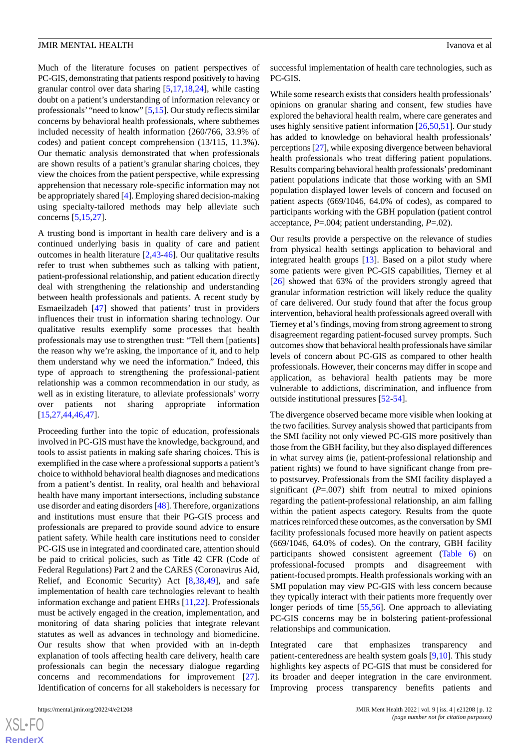Much of the literature focuses on patient perspectives of PC-GIS, demonstrating that patients respond positively to having granular control over data sharing [[5,](#page-12-4)[17](#page-13-5),[18,](#page-13-8)[24](#page-13-10)], while casting doubt on a patient's understanding of information relevancy or professionals' "need to know" [\[5](#page-12-4),[15\]](#page-13-2). Our study reflects similar concerns by behavioral health professionals, where subthemes included necessity of health information (260/766, 33.9% of codes) and patient concept comprehension (13/115, 11.3%). Our thematic analysis demonstrated that when professionals are shown results of a patient's granular sharing choices, they view the choices from the patient perspective, while expressing apprehension that necessary role-specific information may not be appropriately shared [[4](#page-12-3)]. Employing shared decision-making using specialty-tailored methods may help alleviate such concerns [[5](#page-12-4)[,15](#page-13-2),[27\]](#page-13-13).

A trusting bond is important in health care delivery and is a continued underlying basis in quality of care and patient outcomes in health literature [\[2](#page-12-1),[43](#page-14-10)[-46](#page-14-11)]. Our qualitative results refer to trust when subthemes such as talking with patient, patient-professional relationship, and patient education directly deal with strengthening the relationship and understanding between health professionals and patients. A recent study by Esmaeilzadeh [\[47](#page-14-12)] showed that patients' trust in providers influences their trust in information sharing technology. Our qualitative results exemplify some processes that health professionals may use to strengthen trust: "Tell them [patients] the reason why we're asking, the importance of it, and to help them understand why we need the information." Indeed, this type of approach to strengthening the professional-patient relationship was a common recommendation in our study, as well as in existing literature, to alleviate professionals' worry over patients not sharing appropriate information [[15](#page-13-2)[,27](#page-13-13),[44](#page-14-13)[,46](#page-14-11),[47\]](#page-14-12).

Proceeding further into the topic of education, professionals involved in PC-GIS must have the knowledge, background, and tools to assist patients in making safe sharing choices. This is exemplified in the case where a professional supports a patient's choice to withhold behavioral health diagnoses and medications from a patient's dentist. In reality, oral health and behavioral health have many important intersections, including substance use disorder and eating disorders [[48\]](#page-14-14). Therefore, organizations and institutions must ensure that their PG-GIS process and professionals are prepared to provide sound advice to ensure patient safety. While health care institutions need to consider PC-GIS use in integrated and coordinated care, attention should be paid to critical policies, such as Title 42 CFR (Code of Federal Regulations) Part 2 and the CARES (Coronavirus Aid, Relief, and Economic Security) Act [\[8](#page-12-6),[38,](#page-14-5)[49](#page-14-15)], and safe implementation of health care technologies relevant to health information exchange and patient EHRs [[11,](#page-13-17)[22](#page-13-6)]. Professionals must be actively engaged in the creation, implementation, and monitoring of data sharing policies that integrate relevant statutes as well as advances in technology and biomedicine. Our results show that when provided with an in-depth explanation of tools affecting health care delivery, health care professionals can begin the necessary dialogue regarding concerns and recommendations for improvement [[27\]](#page-13-13). Identification of concerns for all stakeholders is necessary for

successful implementation of health care technologies, such as PC-GIS.

While some research exists that considers health professionals' opinions on granular sharing and consent, few studies have explored the behavioral health realm, where care generates and uses highly sensitive patient information [\[26](#page-13-12),[50,](#page-14-16)[51](#page-14-17)]. Our study has added to knowledge on behavioral health professionals' perceptions [\[27\]](#page-13-13), while exposing divergence between behavioral health professionals who treat differing patient populations. Results comparing behavioral health professionals'predominant patient populations indicate that those working with an SMI population displayed lower levels of concern and focused on patient aspects (669/1046, 64.0% of codes), as compared to participants working with the GBH population (patient control acceptance, *P*=.004; patient understanding, *P*=.02).

Our results provide a perspective on the relevance of studies from physical health settings application to behavioral and integrated health groups [\[13](#page-13-1)]. Based on a pilot study where some patients were given PC-GIS capabilities, Tierney et al [[26\]](#page-13-12) showed that 63% of the providers strongly agreed that granular information restriction will likely reduce the quality of care delivered. Our study found that after the focus group intervention, behavioral health professionals agreed overall with Tierney et al's findings, moving from strong agreement to strong disagreement regarding patient-focused survey prompts. Such outcomes show that behavioral health professionals have similar levels of concern about PC-GIS as compared to other health professionals. However, their concerns may differ in scope and application, as behavioral health patients may be more vulnerable to addictions, discrimination, and influence from outside institutional pressures [\[52](#page-14-18)-[54\]](#page-14-19).

The divergence observed became more visible when looking at the two facilities. Survey analysis showed that participants from the SMI facility not only viewed PC-GIS more positively than those from the GBH facility, but they also displayed differences in what survey aims (ie, patient-professional relationship and patient rights) we found to have significant change from preto postsurvey. Professionals from the SMI facility displayed a significant  $(P=0.007)$  shift from neutral to mixed opinions regarding the patient-professional relationship, an aim falling within the patient aspects category. Results from the quote matrices reinforced these outcomes, as the conversation by SMI facility professionals focused more heavily on patient aspects (669/1046, 64.0% of codes). On the contrary, GBH facility participants showed consistent agreement ([Table 6\)](#page-9-0) on professional-focused prompts and disagreement with patient-focused prompts. Health professionals working with an SMI population may view PC-GIS with less concern because they typically interact with their patients more frequently over longer periods of time [[55,](#page-14-20)[56](#page-14-21)]. One approach to alleviating PC-GIS concerns may be in bolstering patient-professional relationships and communication.

Integrated care that emphasizes transparency and patient-centeredness are health system goals [[9](#page-12-7),[10\]](#page-12-8). This study highlights key aspects of PC-GIS that must be considered for its broader and deeper integration in the care environment. Improving process transparency benefits patients and

 $XS$ -FO **[RenderX](http://www.renderx.com/)**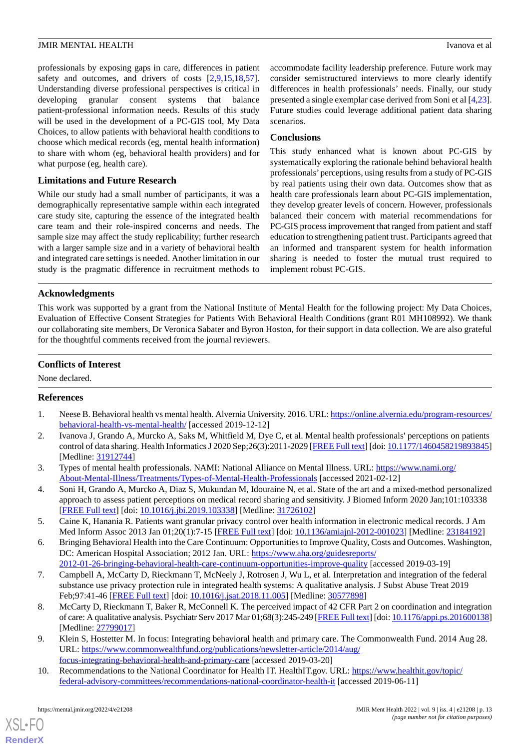professionals by exposing gaps in care, differences in patient safety and outcomes, and drivers of costs [[2](#page-12-1)[,9](#page-12-7),[15](#page-13-2)[,18](#page-13-8),[57\]](#page-15-0). Understanding diverse professional perspectives is critical in developing granular consent systems that balance patient-professional information needs. Results of this study will be used in the development of a PC-GIS tool, My Data Choices, to allow patients with behavioral health conditions to choose which medical records (eg, mental health information) to share with whom (eg, behavioral health providers) and for what purpose (eg, health care).

## **Limitations and Future Research**

While our study had a small number of participants, it was a demographically representative sample within each integrated care study site, capturing the essence of the integrated health care team and their role-inspired concerns and needs. The sample size may affect the study replicability; further research with a larger sample size and in a variety of behavioral health and integrated care settings is needed. Another limitation in our study is the pragmatic difference in recruitment methods to

accommodate facility leadership preference. Future work may consider semistructured interviews to more clearly identify differences in health professionals' needs. Finally, our study presented a single exemplar case derived from Soni et al [\[4](#page-12-3),[23\]](#page-13-7). Future studies could leverage additional patient data sharing scenarios.

## **Conclusions**

This study enhanced what is known about PC-GIS by systematically exploring the rationale behind behavioral health professionals'perceptions, using results from a study of PC-GIS by real patients using their own data. Outcomes show that as health care professionals learn about PC-GIS implementation, they develop greater levels of concern. However, professionals balanced their concern with material recommendations for PC-GIS process improvement that ranged from patient and staff education to strengthening patient trust. Participants agreed that an informed and transparent system for health information sharing is needed to foster the mutual trust required to implement robust PC-GIS.

## **Acknowledgments**

This work was supported by a grant from the National Institute of Mental Health for the following project: My Data Choices, Evaluation of Effective Consent Strategies for Patients With Behavioral Health Conditions (grant R01 MH108992). We thank our collaborating site members, Dr Veronica Sabater and Byron Hoston, for their support in data collection. We are also grateful for the thoughtful comments received from the journal reviewers.

## **Conflicts of Interest**

<span id="page-12-0"></span>None declared.

## <span id="page-12-1"></span>**References**

- <span id="page-12-2"></span>1. Neese B. Behavioral health vs mental health. Alvernia University. 2016. URL: [https://online.alvernia.edu/program-resources/](https://online.alvernia.edu/program-resources/behavioral-health-vs-mental-health/) [behavioral-health-vs-mental-health/](https://online.alvernia.edu/program-resources/behavioral-health-vs-mental-health/) [accessed 2019-12-12]
- <span id="page-12-3"></span>2. Ivanova J, Grando A, Murcko A, Saks M, Whitfield M, Dye C, et al. Mental health professionals' perceptions on patients control of data sharing. Health Informatics J 2020 Sep;26(3):2011-2029 [\[FREE Full text\]](https://journals.sagepub.com/doi/10.1177/1460458219893845?url_ver=Z39.88-2003&rfr_id=ori:rid:crossref.org&rfr_dat=cr_pub%3dpubmed) [doi: [10.1177/1460458219893845](http://dx.doi.org/10.1177/1460458219893845)] [Medline: [31912744](http://www.ncbi.nlm.nih.gov/entrez/query.fcgi?cmd=Retrieve&db=PubMed&list_uids=31912744&dopt=Abstract)]
- <span id="page-12-4"></span>3. Types of mental health professionals. NAMI: National Alliance on Mental Illness. URL: [https://www.nami.org/](https://www.nami.org/About-Mental-Illness/Treatments/Types-of-Mental-Health-Professionals) [About-Mental-Illness/Treatments/Types-of-Mental-Health-Professionals](https://www.nami.org/About-Mental-Illness/Treatments/Types-of-Mental-Health-Professionals) [accessed 2021-02-12]
- <span id="page-12-5"></span>4. Soni H, Grando A, Murcko A, Diaz S, Mukundan M, Idouraine N, et al. State of the art and a mixed-method personalized approach to assess patient perceptions on medical record sharing and sensitivity. J Biomed Inform 2020 Jan;101:103338 [[FREE Full text](https://linkinghub.elsevier.com/retrieve/pii/S1532-0464(19)30257-6)] [doi: [10.1016/j.jbi.2019.103338\]](http://dx.doi.org/10.1016/j.jbi.2019.103338) [Medline: [31726102](http://www.ncbi.nlm.nih.gov/entrez/query.fcgi?cmd=Retrieve&db=PubMed&list_uids=31726102&dopt=Abstract)]
- 5. Caine K, Hanania R. Patients want granular privacy control over health information in electronic medical records. J Am Med Inform Assoc 2013 Jan 01;20(1):7-15 [\[FREE Full text\]](http://europepmc.org/abstract/MED/23184192) [doi: [10.1136/amiajnl-2012-001023\]](http://dx.doi.org/10.1136/amiajnl-2012-001023) [Medline: [23184192\]](http://www.ncbi.nlm.nih.gov/entrez/query.fcgi?cmd=Retrieve&db=PubMed&list_uids=23184192&dopt=Abstract)
- <span id="page-12-6"></span>6. Bringing Behavioral Health into the Care Continuum: Opportunities to Improve Quality, Costs and Outcomes. Washington, DC: American Hospital Association; 2012 Jan. URL: [https://www.aha.org/guidesreports/](https://www.aha.org/guidesreports/2012-01-26-bringing-behavioral-health-care-continuum-opportunities-improve-quality) [2012-01-26-bringing-behavioral-health-care-continuum-opportunities-improve-quality](https://www.aha.org/guidesreports/2012-01-26-bringing-behavioral-health-care-continuum-opportunities-improve-quality) [accessed 2019-03-19]
- <span id="page-12-7"></span>7. Campbell A, McCarty D, Rieckmann T, McNeely J, Rotrosen J, Wu L, et al. Interpretation and integration of the federal substance use privacy protection rule in integrated health systems: A qualitative analysis. J Subst Abuse Treat 2019 Feb;97:41-46 [\[FREE Full text\]](http://europepmc.org/abstract/MED/30577898) [doi: [10.1016/j.jsat.2018.11.005\]](http://dx.doi.org/10.1016/j.jsat.2018.11.005) [Medline: [30577898\]](http://www.ncbi.nlm.nih.gov/entrez/query.fcgi?cmd=Retrieve&db=PubMed&list_uids=30577898&dopt=Abstract)
- <span id="page-12-8"></span>8. McCarty D, Rieckmann T, Baker R, McConnell K. The perceived impact of 42 CFR Part 2 on coordination and integration of care: A qualitative analysis. Psychiatr Serv 2017 Mar 01;68(3):245-249 [\[FREE Full text](http://europepmc.org/abstract/MED/27799017)] [doi: [10.1176/appi.ps.201600138\]](http://dx.doi.org/10.1176/appi.ps.201600138) [Medline: [27799017](http://www.ncbi.nlm.nih.gov/entrez/query.fcgi?cmd=Retrieve&db=PubMed&list_uids=27799017&dopt=Abstract)]
- 9. Klein S, Hostetter M. In focus: Integrating behavioral health and primary care. The Commonwealth Fund. 2014 Aug 28. URL: [https://www.commonwealthfund.org/publications/newsletter-article/2014/aug/](https://www.commonwealthfund.org/publications/newsletter-article/2014/aug/focus-integrating-behavioral-health-and-primary-care) [focus-integrating-behavioral-health-and-primary-care](https://www.commonwealthfund.org/publications/newsletter-article/2014/aug/focus-integrating-behavioral-health-and-primary-care) [accessed 2019-03-20]
- 10. Recommendations to the National Coordinator for Health IT. HealthIT.gov. URL: [https://www.healthit.gov/topic/](https://www.healthit.gov/topic/federal-advisory-committees/recommendations-national-coordinator-health-it) [federal-advisory-committees/recommendations-national-coordinator-health-it](https://www.healthit.gov/topic/federal-advisory-committees/recommendations-national-coordinator-health-it) [accessed 2019-06-11]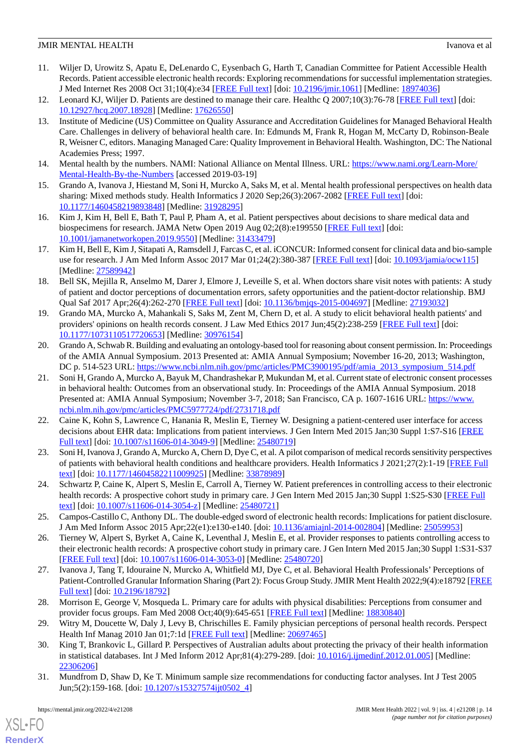## **JMIR MENTAL HEALTH** IVANOVA ET ALCOHOLOGICAL IN THE UNIVERSITY OF A LOCAL INCOLLECT IN THE UNIVERSITY OF A LOCAL INCOLLECT IN THE UNIVERSITY OF A LOCAL INCOLLECT IN THE UNIVERSITY OF A LOCAL INCOLLECT IN THE UNIVERSITY OF

- <span id="page-13-17"></span>11. Wiljer D, Urowitz S, Apatu E, DeLenardo C, Eysenbach G, Harth T, Canadian Committee for Patient Accessible Health Records. Patient accessible electronic health records: Exploring recommendations for successful implementation strategies. J Med Internet Res 2008 Oct 31;10(4):e34 [[FREE Full text](https://www.jmir.org/2008/4/e34/)] [doi: [10.2196/jmir.1061](http://dx.doi.org/10.2196/jmir.1061)] [Medline: [18974036](http://www.ncbi.nlm.nih.gov/entrez/query.fcgi?cmd=Retrieve&db=PubMed&list_uids=18974036&dopt=Abstract)]
- <span id="page-13-1"></span><span id="page-13-0"></span>12. Leonard KJ, Wiljer D. Patients are destined to manage their care. Healthc Q 2007;10(3):76-78 [[FREE Full text](http://www.longwoods.com/product.php?productid=18928)] [doi: [10.12927/hcq.2007.18928](http://dx.doi.org/10.12927/hcq.2007.18928)] [Medline: [17626550](http://www.ncbi.nlm.nih.gov/entrez/query.fcgi?cmd=Retrieve&db=PubMed&list_uids=17626550&dopt=Abstract)]
- 13. Institute of Medicine (US) Committee on Quality Assurance and Accreditation Guidelines for Managed Behavioral Health Care. Challenges in delivery of behavioral health care. In: Edmunds M, Frank R, Hogan M, McCarty D, Robinson-Beale R, Weisner C, editors. Managing Managed Care: Quality Improvement in Behavioral Health. Washington, DC: The National Academies Press; 1997.
- <span id="page-13-2"></span>14. Mental health by the numbers. NAMI: National Alliance on Mental Illness. URL: [https://www.nami.org/Learn-More/](https://www.nami.org/Learn-More/Mental-Health-By-the-Numbers) [Mental-Health-By-the-Numbers](https://www.nami.org/Learn-More/Mental-Health-By-the-Numbers) [accessed 2019-03-19]
- <span id="page-13-3"></span>15. Grando A, Ivanova J, Hiestand M, Soni H, Murcko A, Saks M, et al. Mental health professional perspectives on health data sharing: Mixed methods study. Health Informatics J 2020 Sep;26(3):2067-2082 [\[FREE Full text\]](https://journals.sagepub.com/doi/10.1177/1460458219893848?url_ver=Z39.88-2003&rfr_id=ori:rid:crossref.org&rfr_dat=cr_pub%3dpubmed) [doi: [10.1177/1460458219893848\]](http://dx.doi.org/10.1177/1460458219893848) [Medline: [31928295\]](http://www.ncbi.nlm.nih.gov/entrez/query.fcgi?cmd=Retrieve&db=PubMed&list_uids=31928295&dopt=Abstract)
- <span id="page-13-5"></span>16. Kim J, Kim H, Bell E, Bath T, Paul P, Pham A, et al. Patient perspectives about decisions to share medical data and biospecimens for research. JAMA Netw Open 2019 Aug 02;2(8):e199550 [\[FREE Full text](https://jamanetwork.com/journals/jamanetworkopen/fullarticle/10.1001/jamanetworkopen.2019.9550)] [doi: [10.1001/jamanetworkopen.2019.9550](http://dx.doi.org/10.1001/jamanetworkopen.2019.9550)] [Medline: [31433479](http://www.ncbi.nlm.nih.gov/entrez/query.fcgi?cmd=Retrieve&db=PubMed&list_uids=31433479&dopt=Abstract)]
- <span id="page-13-8"></span>17. Kim H, Bell E, Kim J, Sitapati A, Ramsdell J, Farcas C, et al. iCONCUR: Informed consent for clinical data and bio-sample use for research. J Am Med Inform Assoc 2017 Mar 01;24(2):380-387 [[FREE Full text](http://europepmc.org/abstract/MED/27589942)] [doi: [10.1093/jamia/ocw115](http://dx.doi.org/10.1093/jamia/ocw115)] [Medline: [27589942](http://www.ncbi.nlm.nih.gov/entrez/query.fcgi?cmd=Retrieve&db=PubMed&list_uids=27589942&dopt=Abstract)]
- <span id="page-13-9"></span>18. Bell SK, Mejilla R, Anselmo M, Darer J, Elmore J, Leveille S, et al. When doctors share visit notes with patients: A study of patient and doctor perceptions of documentation errors, safety opportunities and the patient-doctor relationship. BMJ Qual Saf 2017 Apr;26(4):262-270 [[FREE Full text](http://europepmc.org/abstract/MED/27193032)] [doi: [10.1136/bmjqs-2015-004697\]](http://dx.doi.org/10.1136/bmjqs-2015-004697) [Medline: [27193032](http://www.ncbi.nlm.nih.gov/entrez/query.fcgi?cmd=Retrieve&db=PubMed&list_uids=27193032&dopt=Abstract)]
- 19. Grando MA, Murcko A, Mahankali S, Saks M, Zent M, Chern D, et al. A study to elicit behavioral health patients' and providers' opinions on health records consent. J Law Med Ethics 2017 Jun;45(2):238-259 [[FREE Full text](http://europepmc.org/abstract/MED/30976154)] [doi: [10.1177/1073110517720653\]](http://dx.doi.org/10.1177/1073110517720653) [Medline: [30976154\]](http://www.ncbi.nlm.nih.gov/entrez/query.fcgi?cmd=Retrieve&db=PubMed&list_uids=30976154&dopt=Abstract)
- <span id="page-13-4"></span>20. Grando A, Schwab R. Building and evaluating an ontology-based tool for reasoning about consent permission. In: Proceedings of the AMIA Annual Symposium. 2013 Presented at: AMIA Annual Symposium; November 16-20, 2013; Washington, DC p. 514-523 URL: [https://www.ncbi.nlm.nih.gov/pmc/articles/PMC3900195/pdf/amia\\_2013\\_symposium\\_514.pdf](https://www.ncbi.nlm.nih.gov/pmc/articles/PMC3900195/pdf/amia_2013_symposium_514.pdf)
- <span id="page-13-6"></span>21. Soni H, Grando A, Murcko A, Bayuk M, Chandrashekar P, Mukundan M, et al. Current state of electronic consent processes in behavioral health: Outcomes from an observational study. In: Proceedings of the AMIA Annual Symposium. 2018 Presented at: AMIA Annual Symposium; November 3-7, 2018; San Francisco, CA p. 1607-1616 URL: [https://www.](https://www.ncbi.nlm.nih.gov/pmc/articles/PMC5977724/pdf/2731718.pdf) [ncbi.nlm.nih.gov/pmc/articles/PMC5977724/pdf/2731718.pdf](https://www.ncbi.nlm.nih.gov/pmc/articles/PMC5977724/pdf/2731718.pdf)
- <span id="page-13-10"></span><span id="page-13-7"></span>22. Caine K, Kohn S, Lawrence C, Hanania R, Meslin E, Tierney W. Designing a patient-centered user interface for access decisions about EHR data: Implications from patient interviews. J Gen Intern Med 2015 Jan;30 Suppl 1:S7-S16 [[FREE](http://europepmc.org/abstract/MED/25480719) [Full text\]](http://europepmc.org/abstract/MED/25480719) [doi: [10.1007/s11606-014-3049-9](http://dx.doi.org/10.1007/s11606-014-3049-9)] [Medline: [25480719](http://www.ncbi.nlm.nih.gov/entrez/query.fcgi?cmd=Retrieve&db=PubMed&list_uids=25480719&dopt=Abstract)]
- <span id="page-13-11"></span>23. Soni H, Ivanova J, Grando A, Murcko A, Chern D, Dye C, et al. A pilot comparison of medical records sensitivity perspectives of patients with behavioral health conditions and healthcare providers. Health Informatics J 2021;27(2):1-19 [[FREE Full](https://journals.sagepub.com/doi/10.1177/14604582211009925?url_ver=Z39.88-2003&rfr_id=ori:rid:crossref.org&rfr_dat=cr_pub%3dpubmed) [text](https://journals.sagepub.com/doi/10.1177/14604582211009925?url_ver=Z39.88-2003&rfr_id=ori:rid:crossref.org&rfr_dat=cr_pub%3dpubmed)] [doi: [10.1177/14604582211009925\]](http://dx.doi.org/10.1177/14604582211009925) [Medline: [33878989\]](http://www.ncbi.nlm.nih.gov/entrez/query.fcgi?cmd=Retrieve&db=PubMed&list_uids=33878989&dopt=Abstract)
- <span id="page-13-12"></span>24. Schwartz P, Caine K, Alpert S, Meslin E, Carroll A, Tierney W. Patient preferences in controlling access to their electronic health records: A prospective cohort study in primary care. J Gen Intern Med 2015 Jan;30 Suppl 1:S25-S30 [\[FREE Full](http://europepmc.org/abstract/MED/25480721) [text](http://europepmc.org/abstract/MED/25480721)] [doi: [10.1007/s11606-014-3054-z](http://dx.doi.org/10.1007/s11606-014-3054-z)] [Medline: [25480721\]](http://www.ncbi.nlm.nih.gov/entrez/query.fcgi?cmd=Retrieve&db=PubMed&list_uids=25480721&dopt=Abstract)
- <span id="page-13-13"></span>25. Campos-Castillo C, Anthony DL. The double-edged sword of electronic health records: Implications for patient disclosure. J Am Med Inform Assoc 2015 Apr;22(e1):e130-e140. [doi: [10.1136/amiajnl-2014-002804\]](http://dx.doi.org/10.1136/amiajnl-2014-002804) [Medline: [25059953](http://www.ncbi.nlm.nih.gov/entrez/query.fcgi?cmd=Retrieve&db=PubMed&list_uids=25059953&dopt=Abstract)]
- <span id="page-13-14"></span>26. Tierney W, Alpert S, Byrket A, Caine K, Leventhal J, Meslin E, et al. Provider responses to patients controlling access to their electronic health records: A prospective cohort study in primary care. J Gen Intern Med 2015 Jan;30 Suppl 1:S31-S37 [[FREE Full text](http://europepmc.org/abstract/MED/25480720)] [doi: [10.1007/s11606-014-3053-0\]](http://dx.doi.org/10.1007/s11606-014-3053-0) [Medline: [25480720](http://www.ncbi.nlm.nih.gov/entrez/query.fcgi?cmd=Retrieve&db=PubMed&list_uids=25480720&dopt=Abstract)]
- <span id="page-13-15"></span>27. Ivanova J, Tang T, Idouraine N, Murcko A, Whitfield MJ, Dye C, et al. Behavioral Health Professionals'Perceptions of Patient-Controlled Granular Information Sharing (Part 2): Focus Group Study. JMIR Ment Health 2022;9(4):e18792 [\[FREE](https://mental.jmir.org/2022/4/e18792) [Full text\]](https://mental.jmir.org/2022/4/e18792) [doi: [10.2196/18792\]](http://dx.doi.org/10.2196/18792)
- <span id="page-13-16"></span>28. Morrison E, George V, Mosqueda L. Primary care for adults with physical disabilities: Perceptions from consumer and provider focus groups. Fam Med 2008 Oct;40(9):645-651 [\[FREE Full text\]](http://www.stfm.org/fmhub/fm2008/October/Elizabeth645.pdf) [Medline: [18830840\]](http://www.ncbi.nlm.nih.gov/entrez/query.fcgi?cmd=Retrieve&db=PubMed&list_uids=18830840&dopt=Abstract)
- 29. Witry M, Doucette W, Daly J, Levy B, Chrischilles E. Family physician perceptions of personal health records. Perspect Health Inf Manag 2010 Jan 01;7:1d [[FREE Full text](http://europepmc.org/abstract/MED/20697465)] [Medline: [20697465](http://www.ncbi.nlm.nih.gov/entrez/query.fcgi?cmd=Retrieve&db=PubMed&list_uids=20697465&dopt=Abstract)]
- 30. King T, Brankovic L, Gillard P. Perspectives of Australian adults about protecting the privacy of their health information in statistical databases. Int J Med Inform 2012 Apr;81(4):279-289. [doi: [10.1016/j.ijmedinf.2012.01.005](http://dx.doi.org/10.1016/j.ijmedinf.2012.01.005)] [Medline: [22306206](http://www.ncbi.nlm.nih.gov/entrez/query.fcgi?cmd=Retrieve&db=PubMed&list_uids=22306206&dopt=Abstract)]
- 31. Mundfrom D, Shaw D, Ke T. Minimum sample size recommendations for conducting factor analyses. Int J Test 2005 Jun;5(2):159-168. [doi: [10.1207/s15327574ijt0502\\_4\]](http://dx.doi.org/10.1207/s15327574ijt0502_4)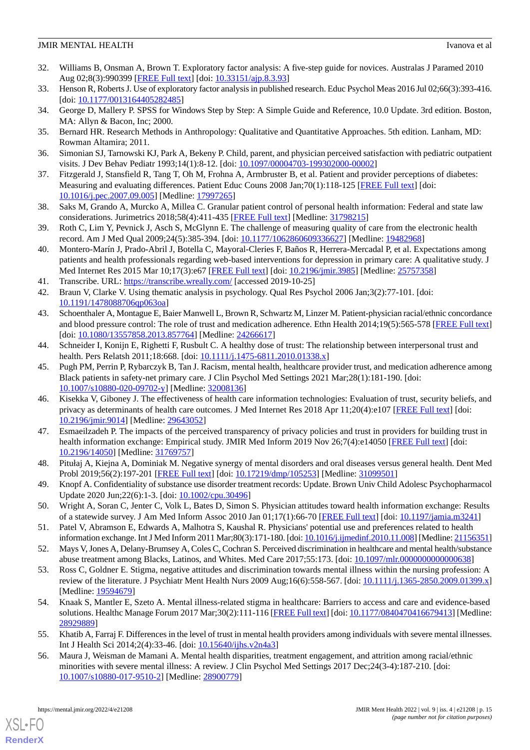## **JMIR MENTAL HEALTH** IVANOVA ET ALCOHOLOGICAL IN THE UNIVERSITY OF A LOCAL INCOLLECT IN THE UNIVERSITY OF A LOCAL INCOLLECT IN THE UNIVERSITY OF A LOCAL INCOLLECT IN THE UNIVERSITY OF A LOCAL INCOLLECT IN THE UNIVERSITY OF

- 32. Williams B, Onsman A, Brown T. Exploratory factor analysis: A five-step guide for novices. Australas J Paramed 2010 Aug 02;8(3):990399 [\[FREE Full text\]](https://ajp.paramedics.org/index.php/ajp/article/view/93/90) [doi: [10.33151/ajp.8.3.93\]](http://dx.doi.org/10.33151/ajp.8.3.93)
- <span id="page-14-1"></span><span id="page-14-0"></span>33. Henson R, Roberts J. Use of exploratory factor analysis in published research. Educ Psychol Meas 2016 Jul 02;66(3):393-416. [doi: [10.1177/0013164405282485](http://dx.doi.org/10.1177/0013164405282485)]
- <span id="page-14-2"></span>34. George D, Mallery P. SPSS for Windows Step by Step: A Simple Guide and Reference, 10.0 Update. 3rd edition. Boston, MA: Allyn & Bacon, Inc; 2000.
- <span id="page-14-3"></span>35. Bernard HR. Research Methods in Anthropology: Qualitative and Quantitative Approaches. 5th edition. Lanham, MD: Rowman Altamira; 2011.
- <span id="page-14-4"></span>36. Simonian SJ, Tarnowski KJ, Park A, Bekeny P. Child, parent, and physician perceived satisfaction with pediatric outpatient visits. J Dev Behav Pediatr 1993;14(1):8-12. [doi: [10.1097/00004703-199302000-00002](http://dx.doi.org/10.1097/00004703-199302000-00002)]
- <span id="page-14-5"></span>37. Fitzgerald J, Stansfield R, Tang T, Oh M, Frohna A, Armbruster B, et al. Patient and provider perceptions of diabetes: Measuring and evaluating differences. Patient Educ Couns 2008 Jan;70(1):118-125 [\[FREE Full text](http://europepmc.org/abstract/MED/17997265)] [doi: [10.1016/j.pec.2007.09.005\]](http://dx.doi.org/10.1016/j.pec.2007.09.005) [Medline: [17997265](http://www.ncbi.nlm.nih.gov/entrez/query.fcgi?cmd=Retrieve&db=PubMed&list_uids=17997265&dopt=Abstract)]
- <span id="page-14-6"></span>38. Saks M, Grando A, Murcko A, Millea C. Granular patient control of personal health information: Federal and state law considerations. Jurimetrics 2018;58(4):411-435 [[FREE Full text](http://europepmc.org/abstract/MED/31798215)] [Medline: [31798215\]](http://www.ncbi.nlm.nih.gov/entrez/query.fcgi?cmd=Retrieve&db=PubMed&list_uids=31798215&dopt=Abstract)
- <span id="page-14-7"></span>39. Roth C, Lim Y, Pevnick J, Asch S, McGlynn E. The challenge of measuring quality of care from the electronic health record. Am J Med Qual 2009;24(5):385-394. [doi: [10.1177/1062860609336627\]](http://dx.doi.org/10.1177/1062860609336627) [Medline: [19482968\]](http://www.ncbi.nlm.nih.gov/entrez/query.fcgi?cmd=Retrieve&db=PubMed&list_uids=19482968&dopt=Abstract)
- <span id="page-14-9"></span><span id="page-14-8"></span>40. Montero-Marín J, Prado-Abril J, Botella C, Mayoral-Cleries F, Baños R, Herrera-Mercadal P, et al. Expectations among patients and health professionals regarding web-based interventions for depression in primary care: A qualitative study. J Med Internet Res 2015 Mar 10;17(3):e67 [[FREE Full text](https://www.jmir.org/2015/3/e67/)] [doi: [10.2196/jmir.3985](http://dx.doi.org/10.2196/jmir.3985)] [Medline: [25757358\]](http://www.ncbi.nlm.nih.gov/entrez/query.fcgi?cmd=Retrieve&db=PubMed&list_uids=25757358&dopt=Abstract)
- <span id="page-14-10"></span>41. Transcribe. URL:<https://transcribe.wreally.com/> [accessed 2019-10-25]
- 42. Braun V, Clarke V. Using thematic analysis in psychology. Qual Res Psychol 2006 Jan;3(2):77-101. [doi: [10.1191/1478088706qp063oa](http://dx.doi.org/10.1191/1478088706qp063oa)]
- <span id="page-14-13"></span>43. Schoenthaler A, Montague E, Baier Manwell L, Brown R, Schwartz M, Linzer M. Patient-physician racial/ethnic concordance and blood pressure control: The role of trust and medication adherence. Ethn Health 2014;19(5):565-578 [\[FREE Full text](http://europepmc.org/abstract/MED/24266617)] [doi: [10.1080/13557858.2013.857764](http://dx.doi.org/10.1080/13557858.2013.857764)] [Medline: [24266617\]](http://www.ncbi.nlm.nih.gov/entrez/query.fcgi?cmd=Retrieve&db=PubMed&list_uids=24266617&dopt=Abstract)
- 44. Schneider I, Konijn E, Righetti F, Rusbult C. A healthy dose of trust: The relationship between interpersonal trust and health. Pers Relatsh 2011;18:668. [doi: [10.1111/j.1475-6811.2010.01338.x](http://dx.doi.org/10.1111/j.1475-6811.2010.01338.x)]
- <span id="page-14-11"></span>45. Pugh PM, Perrin P, Rybarczyk B, Tan J. Racism, mental health, healthcare provider trust, and medication adherence among Black patients in safety-net primary care. J Clin Psychol Med Settings 2021 Mar;28(1):181-190. [doi: [10.1007/s10880-020-09702-y\]](http://dx.doi.org/10.1007/s10880-020-09702-y) [Medline: [32008136\]](http://www.ncbi.nlm.nih.gov/entrez/query.fcgi?cmd=Retrieve&db=PubMed&list_uids=32008136&dopt=Abstract)
- <span id="page-14-12"></span>46. Kisekka V, Giboney J. The effectiveness of health care information technologies: Evaluation of trust, security beliefs, and privacy as determinants of health care outcomes. J Med Internet Res 2018 Apr 11;20(4):e107 [[FREE Full text](https://www.jmir.org/2018/4/e107/)] [doi: [10.2196/jmir.9014](http://dx.doi.org/10.2196/jmir.9014)] [Medline: [29643052](http://www.ncbi.nlm.nih.gov/entrez/query.fcgi?cmd=Retrieve&db=PubMed&list_uids=29643052&dopt=Abstract)]
- <span id="page-14-15"></span><span id="page-14-14"></span>47. Esmaeilzadeh P. The impacts of the perceived transparency of privacy policies and trust in providers for building trust in health information exchange: Empirical study. JMIR Med Inform 2019 Nov 26;7(4):e14050 [[FREE Full text](https://medinform.jmir.org/2019/4/e14050/)] [doi: [10.2196/14050\]](http://dx.doi.org/10.2196/14050) [Medline: [31769757\]](http://www.ncbi.nlm.nih.gov/entrez/query.fcgi?cmd=Retrieve&db=PubMed&list_uids=31769757&dopt=Abstract)
- <span id="page-14-16"></span>48. Pitułaj A, Kiejna A, Dominiak M. Negative synergy of mental disorders and oral diseases versus general health. Dent Med Probl 2019;56(2):197-201 [\[FREE Full text\]](https://dmp.umw.edu.pl/pdf/2019/56/2/197.pdf) [doi: [10.17219/dmp/105253\]](http://dx.doi.org/10.17219/dmp/105253) [Medline: [31099501](http://www.ncbi.nlm.nih.gov/entrez/query.fcgi?cmd=Retrieve&db=PubMed&list_uids=31099501&dopt=Abstract)]
- <span id="page-14-18"></span><span id="page-14-17"></span>49. Knopf A. Confidentiality of substance use disorder treatment records: Update. Brown Univ Child Adolesc Psychopharmacol Update 2020 Jun;22(6):1-3. [doi: [10.1002/cpu.30496](http://dx.doi.org/10.1002/cpu.30496)]
- 50. Wright A, Soran C, Jenter C, Volk L, Bates D, Simon S. Physician attitudes toward health information exchange: Results of a statewide survey. J Am Med Inform Assoc 2010 Jan 01;17(1):66-70 [[FREE Full text](https://academic.oup.com/jamia/article/17/1/66/705227)] [doi: [10.1197/jamia.m3241](http://dx.doi.org/10.1197/jamia.m3241)]
- 51. Patel V, Abramson E, Edwards A, Malhotra S, Kaushal R. Physicians' potential use and preferences related to health information exchange. Int J Med Inform 2011 Mar;80(3):171-180. [doi: [10.1016/j.ijmedinf.2010.11.008](http://dx.doi.org/10.1016/j.ijmedinf.2010.11.008)] [Medline: [21156351\]](http://www.ncbi.nlm.nih.gov/entrez/query.fcgi?cmd=Retrieve&db=PubMed&list_uids=21156351&dopt=Abstract)
- <span id="page-14-19"></span>52. Mays V, Jones A, Delany-Brumsey A, Coles C, Cochran S. Perceived discrimination in healthcare and mental health/substance abuse treatment among Blacks, Latinos, and Whites. Med Care 2017;55:173. [doi: [10.1097/mlr.0000000000000638](http://dx.doi.org/10.1097/mlr.0000000000000638)]
- <span id="page-14-20"></span>53. Ross C, Goldner E. Stigma, negative attitudes and discrimination towards mental illness within the nursing profession: A review of the literature. J Psychiatr Ment Health Nurs 2009 Aug;16(6):558-567. [doi: [10.1111/j.1365-2850.2009.01399.x](http://dx.doi.org/10.1111/j.1365-2850.2009.01399.x)] [Medline: [19594679](http://www.ncbi.nlm.nih.gov/entrez/query.fcgi?cmd=Retrieve&db=PubMed&list_uids=19594679&dopt=Abstract)]
- <span id="page-14-21"></span>54. Knaak S, Mantler E, Szeto A. Mental illness-related stigma in healthcare: Barriers to access and care and evidence-based solutions. Healthc Manage Forum 2017 Mar;30(2):111-116 [\[FREE Full text\]](https://journals.sagepub.com/doi/10.1177/0840470416679413?url_ver=Z39.88-2003&rfr_id=ori:rid:crossref.org&rfr_dat=cr_pub%3dpubmed) [doi: [10.1177/0840470416679413](http://dx.doi.org/10.1177/0840470416679413)] [Medline: [28929889](http://www.ncbi.nlm.nih.gov/entrez/query.fcgi?cmd=Retrieve&db=PubMed&list_uids=28929889&dopt=Abstract)]
- 55. Khatib A, Farraj F. Differences in the level of trust in mental health providers among individuals with severe mental illnesses. Int J Health Sci 2014;2(4):33-46. [doi: [10.15640/ijhs.v2n4a3\]](http://dx.doi.org/10.15640/ijhs.v2n4a3)
- 56. Maura J, Weisman de Mamani A. Mental health disparities, treatment engagement, and attrition among racial/ethnic minorities with severe mental illness: A review. J Clin Psychol Med Settings 2017 Dec;24(3-4):187-210. [doi: [10.1007/s10880-017-9510-2\]](http://dx.doi.org/10.1007/s10880-017-9510-2) [Medline: [28900779](http://www.ncbi.nlm.nih.gov/entrez/query.fcgi?cmd=Retrieve&db=PubMed&list_uids=28900779&dopt=Abstract)]